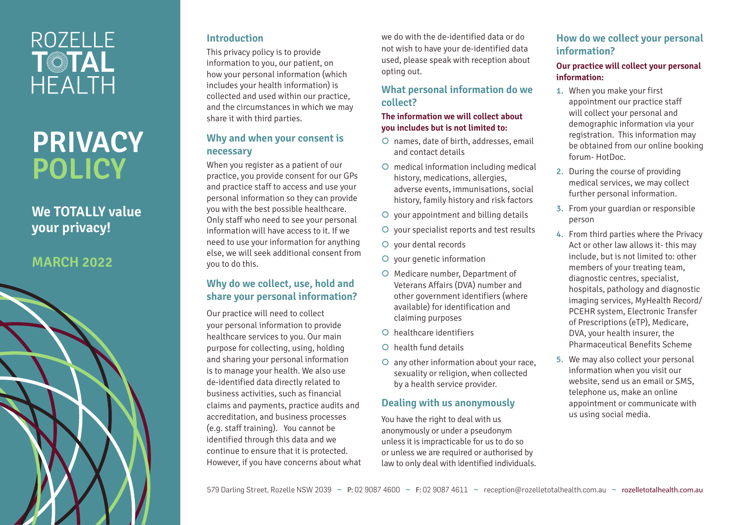## **ROZELLE** T©TAL **HEALTH**

# **PRIVACY POLICY**

## **We TOTALLY value your privacy!**

### **MARCH 2022**



#### **Introduction**

This privacy policy is to provide information to you, our patient, on how your personal information (which includes your health information) is collected and used within our practice, and the circumstances in which we may share it with third parties.

#### **Why and when your consent is necessary**

When you register as a patient of our practice, you provide consent for our GPs and practice staff to access and use your personal information so they can provide you with the best possible healthcare. Only staff who need to see your personal information will have access to it. If we need to use your information for anything else, we will seek additional consent from you to do this.

#### **Why do we collect, use, hold and share your personal information?**

Our practice will need to collect your personal information to provide healthcare services to you. Our main purpose for collecting, using, holding and sharing your personal information is to manage your health. We also use de-identified data directly related to business activities, such as financial claims and payments, practice audits and accreditation, and business processes (e.g. staff training). You cannot be identified through this data and we continue to ensure that it is protected. However, if you have concerns about what

we do with the de-identified data or do not wish to have your de-identified data used, please speak with reception about opting out.

#### **What personal information do we collect?**

#### **The information we will collect about you includes but is not limited to:**

- | names, date of birth, addresses, email and contact details
- | medical information including medical history, medications, allergies, adverse events, immunisations, social history, family history and risk factors
- $\circ$  your appointment and billing details
- | your specialist reports and test results
- O vour dental records
- | your genetic information
- O Medicare number, Department of Veterans Affairs (DVA) number and other government identifiers (where available) for identification and claiming purposes
- $\Omega$  healthcare identifiers
- $\Omega$  health fund details
- O any other information about your race, sexuality or religion, when collected by a health service provider.

#### **Dealing with us anonymously**

You have the right to deal with us anonymously or under a pseudonym unless it is impracticable for us to do so or unless we are required or authorised by law to only deal with identified individuals.

#### **How do we collect your personal information?**

#### **Our practice will collect your personal information:**

- 1. When you make your first appointment our practice staff will collect your personal and demographic information via your registration. This information may be obtained from our online booking forum- HotDoc.
- 2. During the course of providing medical services, we may collect further personal information.
- 3. From your guardian or responsible person
- 4. From third parties where the Privacy Act or other law allows it- this may include, but is not limited to: other members of your treating team, diagnostic centres, specialist, hospitals, pathology and diagnostic imaging services, MyHealth Record/ PCEHR system, Electronic Transfer of Prescriptions (eTP), Medicare, DVA, your health insurer, the Pharmaceutical Benefits Scheme
- 5. We may also collect your personal information when you visit our website, send us an email or SMS, telephone us, make an online appointment or communicate with us using social media.